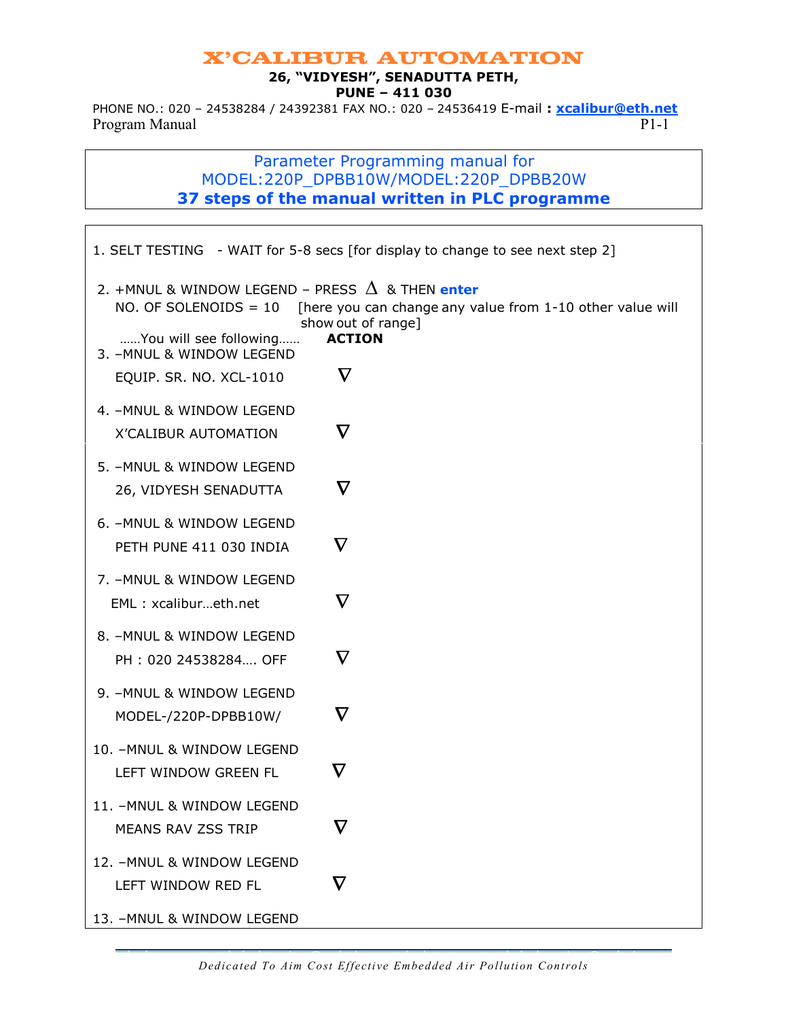#### 26, "VIDYESH", SENADUTTA PETH, PUNE – 411 030

PHONE NO.: 020 - 24538284 / 24392381 FAX NO.: 020 - 24536419 E-mail: xcalibur@eth.net Program Manual P1-1

## Parameter Programming manual for MODEL:220P\_DPBB10W/MODEL:220P\_DPBB20W 37 steps of the manual written in PLC programme

|                                                                                                                                                                         | 1. SELT TESTING - WAIT for 5-8 secs [for display to change to see next step 2]                                            |
|-------------------------------------------------------------------------------------------------------------------------------------------------------------------------|---------------------------------------------------------------------------------------------------------------------------|
| 2. +MNUL & WINDOW LEGEND – PRESS $\,\Delta\,$ & THEN enter<br>NO. OF SOLENOIDS = $10$<br>You will see following<br>3. - MNUL & WINDOW LEGEND<br>EQUIP. SR. NO. XCL-1010 | [here you can change any value from 1-10 other value will<br>show out of range]<br><b>ACTION</b><br>$\boldsymbol{\nabla}$ |
| 4. - MNUL & WINDOW LEGEND<br>X'CALIBUR AUTOMATION                                                                                                                       | $\boldsymbol{\nabla}$                                                                                                     |
| 5. - MNUL & WINDOW LEGEND<br>26, VIDYESH SENADUTTA                                                                                                                      | $\boldsymbol{\nabla}$                                                                                                     |
| 6. - MNUL & WINDOW LEGEND<br>PETH PUNE 411 030 INDIA                                                                                                                    | $\boldsymbol{\nabla}$                                                                                                     |
| 7. - MNUL & WINDOW LEGEND<br>EML: xcalibureth.net                                                                                                                       | $\boldsymbol{\nabla}$                                                                                                     |
| 8. - MNUL & WINDOW LEGEND<br>PH: 020 24538284 OFF                                                                                                                       | $\nabla$                                                                                                                  |
| 9. - MNUL & WINDOW LEGEND<br>MODEL-/220P-DPBB10W/                                                                                                                       | $\bm{\nabla}$                                                                                                             |
| 10. - MNUL & WINDOW LEGEND<br>LEFT WINDOW GREEN FL                                                                                                                      | $\boldsymbol{\nabla}$                                                                                                     |
| 11. - MNUL & WINDOW LEGEND<br>MEANS RAV ZSS TRIP                                                                                                                        | $\bm{\nabla}$                                                                                                             |
| 12. - MNUL & WINDOW LEGEND<br>LEFT WINDOW RED FL                                                                                                                        | $\bm{\nabla}$                                                                                                             |
| 13. - MNUL & WINDOW LEGEND                                                                                                                                              |                                                                                                                           |

Dedicated To Aim Cost Effective Embedded Air Pollution Controls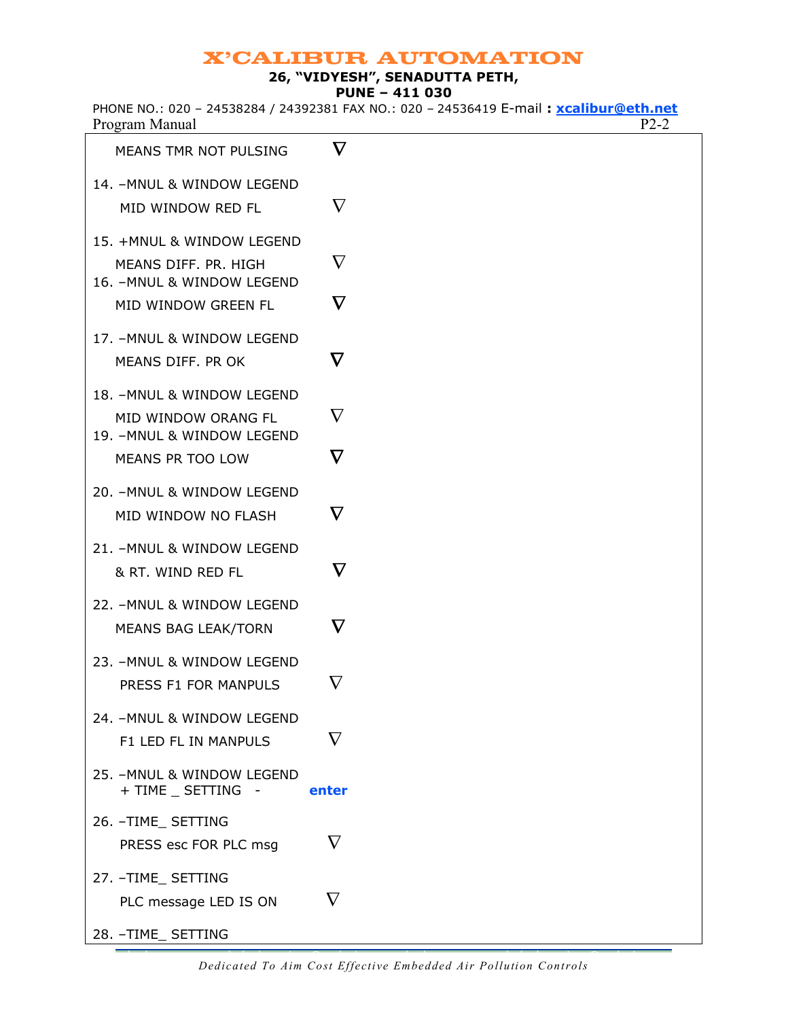### 26, "VIDYESH", SENADUTTA PETH,

PUNE – 411 030

| PHONE NO.: 020 - 24538284 / 24392381 FAX NO.: 020 - 24536419 E-mail: xcalibur@eth.net |  |  |  |  |
|---------------------------------------------------------------------------------------|--|--|--|--|
| Program Manual                                                                        |  |  |  |  |

| MEANS TMR NOT PULSING                                                           | $\boldsymbol{\nabla}$ |
|---------------------------------------------------------------------------------|-----------------------|
| 14. - MNUL & WINDOW LEGEND<br>MID WINDOW RED FL                                 | $\nabla$              |
| 15. +MNUL & WINDOW LEGEND<br>MEANS DIFF. PR. HIGH<br>16. - MNUL & WINDOW LEGEND | $\nabla$              |
| MID WINDOW GREEN FL                                                             | $\nabla$              |
| 17. - MNUL & WINDOW LEGEND<br>MEANS DIFF. PR OK                                 | $\boldsymbol{\nabla}$ |
| 18. - MNUL & WINDOW LEGEND                                                      |                       |
| MID WINDOW ORANG FL<br>19. - MNUL & WINDOW LEGEND                               | $\nabla$              |
| MEANS PR TOO LOW                                                                | $\boldsymbol{\nabla}$ |
| 20. - MNUL & WINDOW LEGEND<br>MID WINDOW NO FLASH                               | $\nabla$              |
| 21. - MNUL & WINDOW LEGEND<br>& RT. WIND RED FL                                 | $\bm{\nabla}$         |
| 22. - MNUL & WINDOW LEGEND<br>MEANS BAG LEAK/TORN                               | $\boldsymbol{\nabla}$ |
| 23. - MNUL & WINDOW LEGEND<br>PRESS F1 FOR MANPULS                              | $\nabla$              |
| 24. - MNUL & WINDOW LEGEND<br>F1 LED FL IN MANPULS                              | $\nabla$              |
| 25. - MNUL & WINDOW LEGEND<br>+ TIME _ SETTING -                                | enter                 |
| 26. - TIME_ SETTING<br>PRESS esc FOR PLC msg                                    | $\nabla$              |
| 27. - TIME_ SETTING<br>PLC message LED IS ON                                    | $\nabla$              |
| 28. - TIME_ SETTING                                                             |                       |

Dedicated To Aim Cost Effective Embedded Air Pollution Controls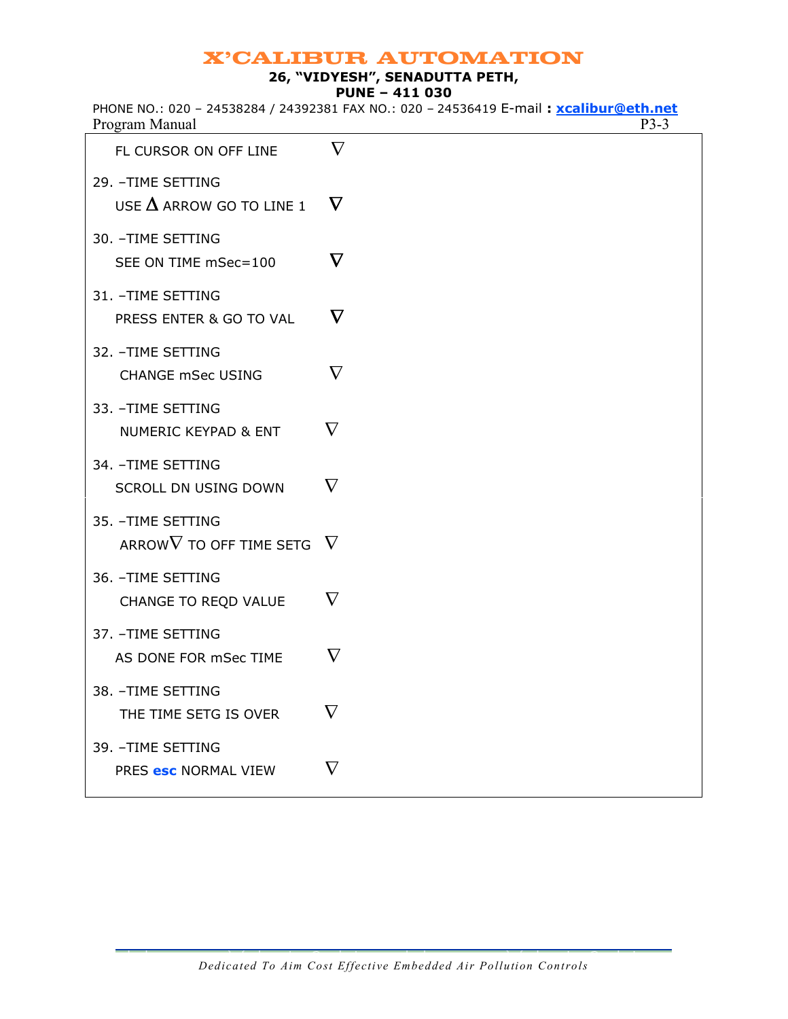## 26, "VIDYESH", SENADUTTA PETH,

PUNE – 411 030

|                | PHONE NO.: 020 - 24538284 / 24392381 FAX NO.: 020 - 24536419 E-mail: xcalibur@eth.net |
|----------------|---------------------------------------------------------------------------------------|
| Program Manual | P3-3                                                                                  |

| FL CURSOR ON OFF LINE                                  | $\nabla$              |
|--------------------------------------------------------|-----------------------|
| 29. - TIME SETTING<br>USE $\Delta$ ARROW GO TO LINE 1  | $\nabla$              |
| 30. - TIME SETTING<br>SEE ON TIME mSec=100             | $\boldsymbol{\nabla}$ |
| 31. - TIME SETTING<br>PRESS ENTER & GO TO VAL          | $\boldsymbol{\nabla}$ |
| 32. - TIME SETTING<br><b>CHANGE mSec USING</b>         | $\nabla$              |
| 33. - TIME SETTING<br><b>NUMERIC KEYPAD &amp; ENT</b>  | $\nabla$              |
| 34. - TIME SETTING<br>SCROLL DN USING DOWN             | $\nabla$              |
| 35. - TIME SETTING<br>ARROW $\nabla$ TO OFF TIME SETG. | $\nabla$              |
| 36. - TIME SETTING<br>CHANGE TO REQD VALUE             | $\nabla$              |
| 37. - TIME SETTING<br>AS DONE FOR mSec TIME            | $\nabla$              |
| 38. - TIME SETTING<br>THE TIME SETG IS OVER            | $\nabla$              |
| 39. - TIME SETTING<br>PRES esc NORMAL VIEW             | $\nabla$              |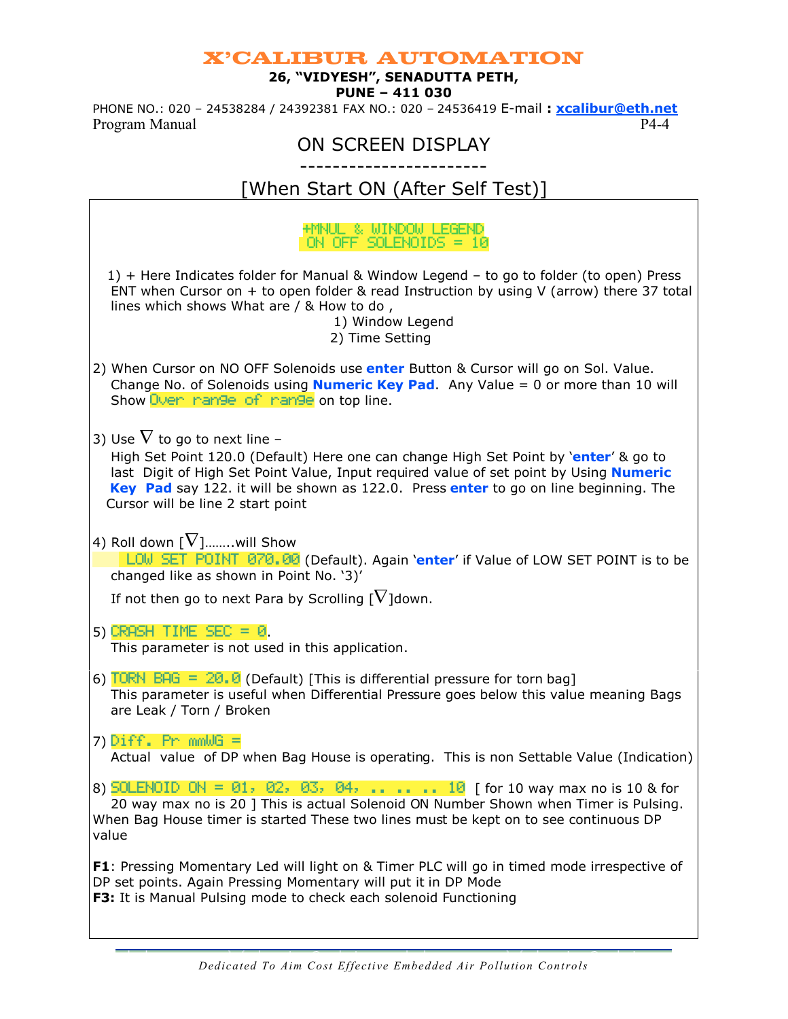### 26, "VIDYESH", SENADUTTA PETH,

#### PUNE – 411 030

PHONE NO.: 020 - 24538284 / 24392381 FAX NO.: 020 - 24536419 E-mail: xcalibur@eth.net Program Manual P4-4

# ON SCREEN DISPLAY

-----------------------

# [When Start ON (After Self Test)]

## +MNUL&WINDOWLEGEND ON OFF SOLENOIDS = 10 1) + Here Indicates folder for Manual & Window Legend – to go to folder (to open) Press ENT when Cursor on  $+$  to open folder & read Instruction by using V (arrow) there 37 total lines which shows What are / & How to do , 1) Window Legend 2) Time Setting 2) When Cursor on NO OFF Solenoids use *enter Button & Cursor will go on Sol. Value.* Change No. of Solenoids using **Numeric Key Pad.** Any Value  $= 0$  or more than 10 will Show Oven mange of mange on top line. 3) Use  $\nabla$  to go to next line – High Set Point 120.0 (Default) Here one can change High Set Point by 'enter' & go to last Digit of High Set Point Value, Input required value of set point by Using **Numeric** Key Pad say 122. it will be shown as 122.0. Press enter to go on line beginning. The Cursor will be line 2 start point 4) Roll down  $\lceil \nabla \rceil$ …….will Show LOW SET POINT 070.00 (Default). Again 'enter' if Value of LOW SET POINT is to be changed like as shown in Point No. '3)' If not then go to next Para by Scrolling  $\lceil \nabla \rceil$ down. 5) CRASH TIME  $SEC = 0$ . This parameter is not used in this application. 6) TORN BAG =  $20.0$  (Default) [This is differential pressure for torn bag] This parameter is useful when Differential Pressure goes below this value meaning Bags are Leak / Torn / Broken 7)  $Diff. Pr$   $mmWG =$  Actual value of DP when Bag House is operating. This is non Settable Value (Indication) 8) SOLENOID ON = 01, 02, 03, 04, ..... 10 [ for 10 way max no is 10 & for 20 way max no is 20 ] This is actual Solenoid ON Number Shown when Timer is Pulsing. When Bag House timer is started These two lines must be kept on to see continuous DP value **F1**: Pressing Momentary Led will light on & Timer PLC will go in timed mode irrespective of

DP set points. Again Pressing Momentary will put it in DP Mode F3: It is Manual Pulsing mode to check each solenoid Functioning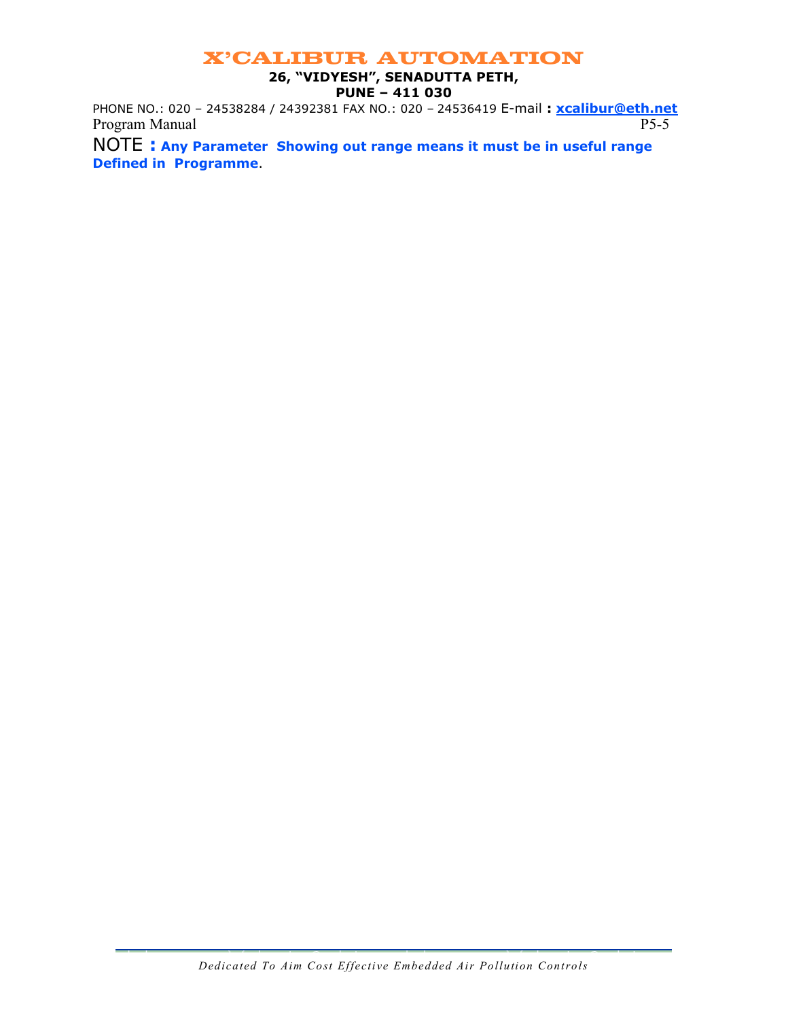#### 26, "VIDYESH", SENADUTTA PETH, PUNE – 411 030

PHONE NO.: 020 - 24538284 / 24392381 FAX NO.: 020 - 24536419 E-mail: xcalibur@eth.net Program Manual P5-5

NOTE : Any Parameter Showing out range means it must be in useful range Defined in Programme.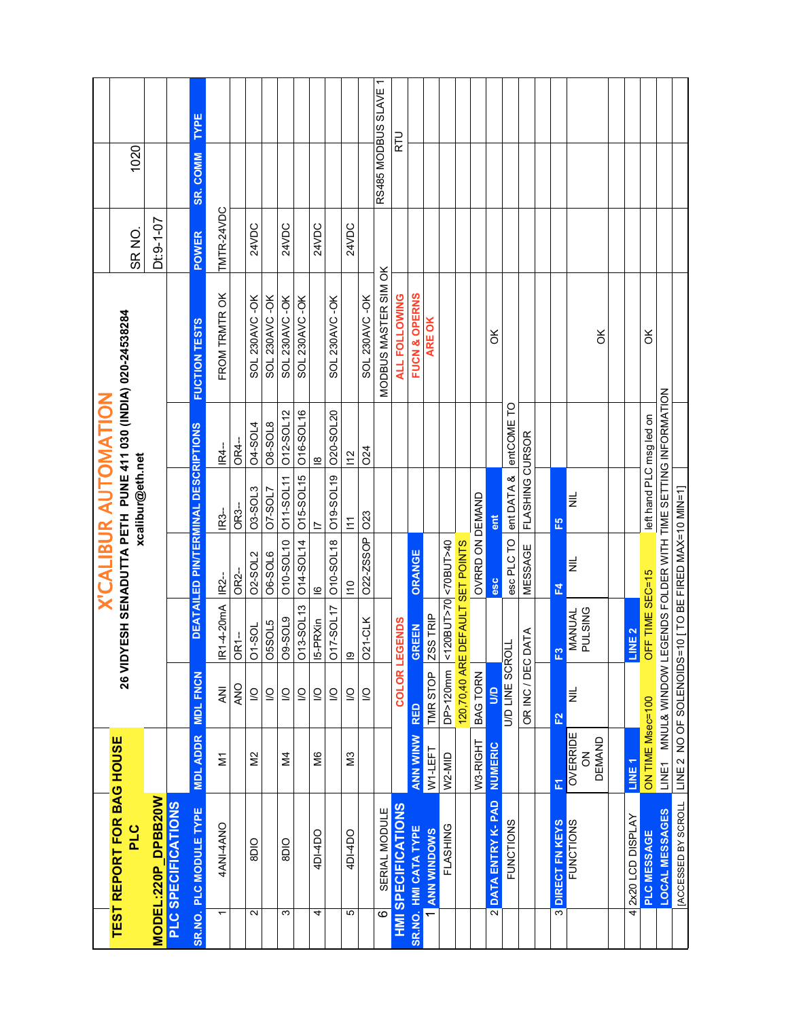|                          | <b>TEST REPORT FOR BAG HOUSE</b><br>PLC |                     |                         |                                 | <b>X'CALIBUR AUTOMATION</b>                          | xcalibur@eth.net                 |                         | 26 VIDYESH SENADUTTA PETH PUNE 411 030 (INDIA) 020-24538284 | SR <sub>NO</sub> | 1020                 |             |
|--------------------------|-----------------------------------------|---------------------|-------------------------|---------------------------------|------------------------------------------------------|----------------------------------|-------------------------|-------------------------------------------------------------|------------------|----------------------|-------------|
|                          | MODEL:220P DPBB20W                      |                     |                         |                                 |                                                      |                                  |                         |                                                             | $Dt: 9 - 1 - 07$ |                      |             |
|                          | PLC SPECIFICATIONS                      |                     |                         |                                 |                                                      |                                  |                         |                                                             |                  |                      |             |
|                          | SR.NO. PLC MODULE TYPE                  | <b>MDL ADDR</b>     | <b>MDL FNCN</b>         |                                 | DEATAILED PINTERMINAL DESCRIPTIONS                   |                                  |                         | <b>FUCTION TESTS</b>                                        | <b>POWER</b>     | <b>SR. COMM</b>      | <b>TYPE</b> |
| $\overline{\phantom{0}}$ | 4ANI-4ANO                               | $\overline{\Sigma}$ | <b>NN</b>               | <b>IR1-4-20mA</b>               | IR <sub>2-</sub>                                     | <b>IR3-</b>                      | <b>R4--</b>             | FROM TRMTROK                                                | TMTR-24VDC       |                      |             |
|                          |                                         |                     | <b>ANO</b>              | OR1-                            | OR <sub>2</sub> -                                    | OR <sub>3-</sub>                 | OR4-                    |                                                             |                  |                      |             |
| 2                        | <b>OID</b>                              | $\frac{2}{2}$       | $\subseteq$             | <b>D1-SOL</b>                   | <b>02-SOL2</b>                                       | O <sub>3</sub> -SOL <sub>3</sub> | <b>04-SOL4</b>          | SOL 230AVC-OK                                               | 24VDC            |                      |             |
|                          |                                         |                     | $\overline{\mathsf{S}}$ | <b>O5SOL5</b>                   | <b>O6-SOL6</b>                                       | <b>O7-SOL7</b>                   | <b>08-SOL8</b>          | SOL 230AVC-OK                                               |                  |                      |             |
| ω                        | 8DIO                                    | $\overline{2}$      | $\overline{a}$          | <b>09-SOL9</b>                  | 010-SOL10 011-SOL11                                  |                                  | 012-SOL12               | SOL 230AVC-OK                                               | 24VDC            |                      |             |
|                          |                                         |                     | $\overline{\mathsf{C}}$ | O13-SOL13                       | O14-SOL14                                            | 015-SOL15                        | 016-SOL16               | SOL 230AVC-OK                                               |                  |                      |             |
| 4                        | 4DI-4DO                                 | ŠМ                  | $\overline{\mathsf{C}}$ | 15-PRXin                        | $\overline{\mathbf{6}}$                              | $\overline{\phantom{0}}$         | $\overline{\mathbf{8}}$ |                                                             | 24VDC            |                      |             |
|                          |                                         |                     | $\overline{S}$          | <b>D17-SOL17</b>                | O10-SOL18 019-SOL19 020-SOL20                        |                                  |                         | SOL 230AVC-OK                                               |                  |                      |             |
| Ю                        | 4DI-4DO                                 | N <sub>3</sub>      | $\overline{a}$          | $\overline{\Omega}$             | $\frac{1}{2}$                                        | $\tilde{z}$                      | $\frac{2}{1}$           |                                                             | 24VDC            |                      |             |
|                          |                                         |                     | $\overline{a}$          | <b>021-CLK</b>                  | 022-ZSSOP 023                                        |                                  | <b>O24</b>              | SOL 230AVC-OK                                               |                  |                      |             |
| $\overline{\circ}$       | SERIAL MODULE                           |                     |                         |                                 |                                                      |                                  |                         | MODBUS MASTER SIM OK                                        |                  | RS485 MODBUS SLAVE 1 |             |
|                          | <b>HMI SPECIFICATIONS</b>               |                     | COLOR <sub>L</sub>      | EGENDS                          |                                                      |                                  |                         | <b>ALL FOLLOWING</b>                                        |                  | こと                   |             |
|                          | SR.NO. HMI CATA TYPE                    | <b>ANN WINW</b>     | <b>RED</b>              | <b>GREEN</b>                    | ORANGE                                               |                                  |                         | FUCN & OPERNS                                               |                  |                      |             |
|                          | <b>ANN WINDOWS</b>                      | W1-LEFT             | TMR STOP                | ZSS TRIP                        |                                                      |                                  |                         | ARE OK                                                      |                  |                      |             |
|                          | FLASHING                                | W2-MID              | DP>120mm                | <120BUT>70<70BUT>40             |                                                      |                                  |                         |                                                             |                  |                      |             |
|                          |                                         |                     | 120,70,40 AR            | E DEFAULT SET POINTS            |                                                      |                                  |                         |                                                             |                  |                      |             |
|                          |                                         | W3-RIGHT            | BAG TORN                |                                 | OVRRD ON DEMAND                                      |                                  |                         |                                                             |                  |                      |             |
|                          | <b>2 DATA ENTRY K-PAD</b>               | <b>NUMERIC</b>      | gn                      |                                 | esc                                                  | ent                              |                         | š                                                           |                  |                      |             |
|                          | <b>FUNCTIONS</b>                        |                     | <b>U/D LINE SCROLL</b>  |                                 | esc PLC TO                                           | ent DATA & entCOME TO            |                         |                                                             |                  |                      |             |
|                          |                                         |                     | OR INC / DEC DATA       |                                 | MESSAGE                                              | FLASHING CURSOR                  |                         |                                                             |                  |                      |             |
|                          |                                         |                     |                         |                                 |                                                      |                                  |                         |                                                             |                  |                      |             |
|                          | <b>3 DIRECT FN KEYS</b>                 | E                   | 욘                       | ဥ                               | 군                                                    | $E_{\rm D}$                      |                         |                                                             |                  |                      |             |
|                          | <b>FUNCTIONS</b>                        | OVERRIDE<br>Z       | E                       | <b>PULSING</b><br><b>MANUAL</b> | $\equiv$                                             | $\equiv$                         |                         |                                                             |                  |                      |             |
|                          |                                         | <b>DEMAND</b>       |                         |                                 |                                                      |                                  |                         | X                                                           |                  |                      |             |
|                          |                                         |                     |                         |                                 |                                                      |                                  |                         |                                                             |                  |                      |             |
| 4                        | 2x20 LCD DISPLAY                        | LINE <sub>1</sub>   |                         | LINE <sub>2</sub>               |                                                      |                                  |                         |                                                             |                  |                      |             |
|                          | PLC MESSAGE                             | ON TIME Msec=100    |                         | OFF TIME SEC=15                 |                                                      | left hand PLC msg led on         |                         | ¥                                                           |                  |                      |             |
|                          | LOCAL MESSAGES                          |                     | LINE1 MNUL& WINDOW L    |                                 | EGENDS FOLDER WITH TIME SETTING INFORMATION          |                                  |                         |                                                             |                  |                      |             |
|                          | <b>[ACCESSED BY SCROLL</b>              |                     |                         |                                 | LINE 2 NO OF SOLENOIDS=10 [TO BE FIRED MAX=10 MIN=1] |                                  |                         |                                                             |                  |                      |             |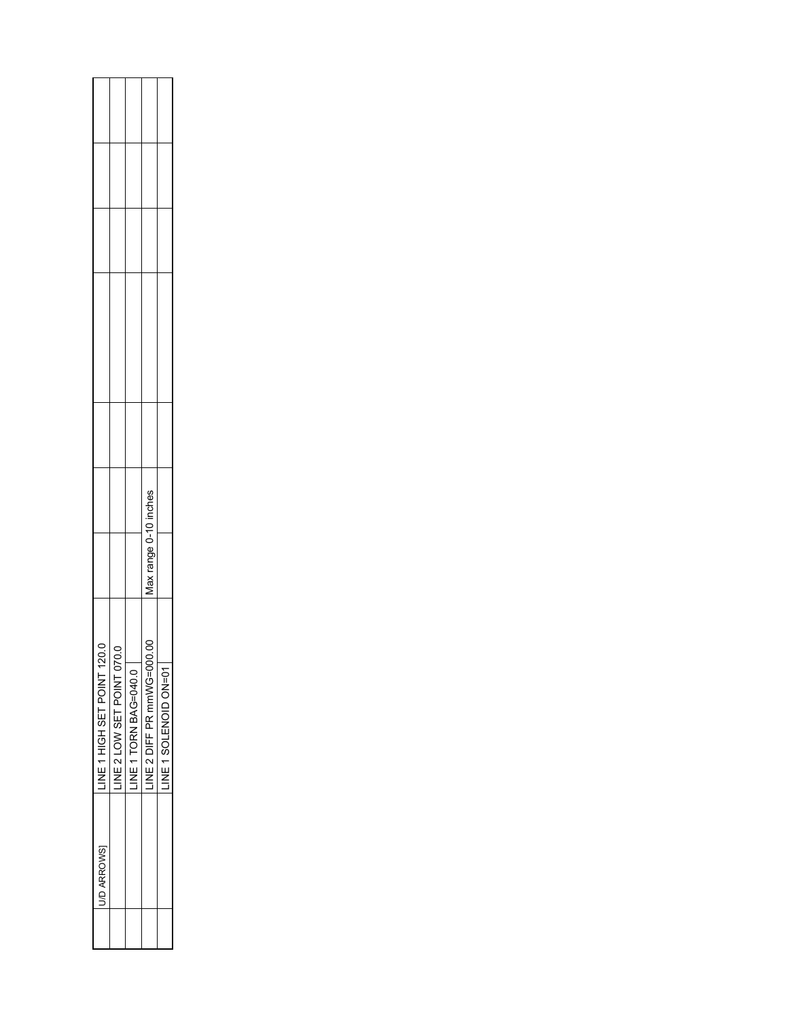| U/D ARROWS | LINE 1 HIGH SET POINT 120 |                                                         |  |  |
|------------|---------------------------|---------------------------------------------------------|--|--|
|            | LINE 2 LOW SET POINT 070. |                                                         |  |  |
|            | INE 1 TORN BAG=040.0      |                                                         |  |  |
|            | LINE 2 DIFF PR mmWG=000.  | ים<br>⊑<br>$\bar{z}$<br>range<br>$\tilde{\mathfrak{a}}$ |  |  |
|            | LINE 1 SOLENOID ON=01     |                                                         |  |  |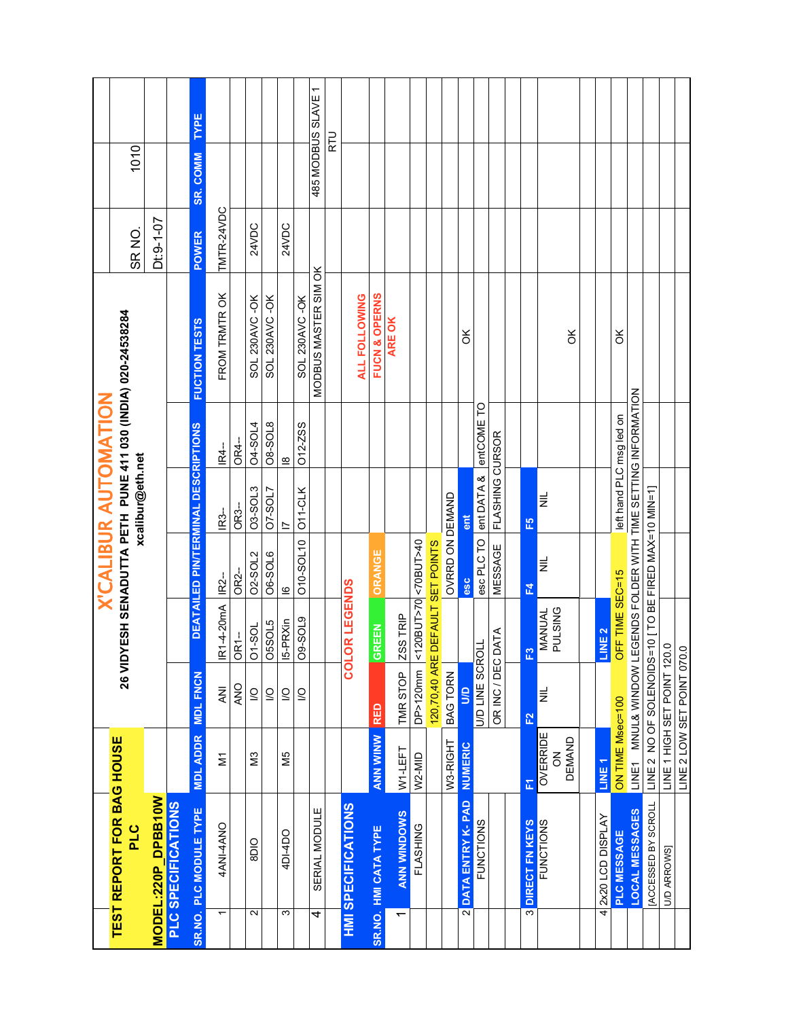| 26 VIDYESH SENADUTTA PETH PUNE 411 030 (INDIA) 020-24538284<br>TEST REPORT FOR BAG HOUSE<br>PLC |  |  |                                      | <b>X'CALIBUR AUTOMATION</b><br>xcalibur@eth.net |                                |                      | SR <sub>NO</sub> | 1010               |      |
|-------------------------------------------------------------------------------------------------|--|--|--------------------------------------|-------------------------------------------------|--------------------------------|----------------------|------------------|--------------------|------|
| MODEL:220P DPBB10W                                                                              |  |  |                                      |                                                 |                                |                      | Dt:9-1-07        |                    |      |
| PLC SPECIFICATIONS                                                                              |  |  |                                      |                                                 |                                |                      |                  |                    |      |
| <b>MDL FNCN</b><br><b>MDL ADDR</b><br>SR.NO. PLC MODULE TYPE                                    |  |  | DEATAILED PIN/TERMINAL DESCRIPTIONS  |                                                 |                                | <b>FUCTION TESTS</b> | POWER            | <b>SR. COMM</b>    | TYPE |
| R1-4-20mA<br><b>NK</b><br>$\overline{\Sigma}$<br><b>4AN14ANO</b>                                |  |  | <b>IR2-</b>                          | IR <sub>3</sub> -                               | IR4-                           | FROM TRMTROK         | TMTR-24VDC       |                    |      |
| OR1-<br><b>ANO</b>                                                                              |  |  | OR <sub>2</sub> -                    | OR <sub>3</sub> -                               | OR4-                           |                      |                  |                    |      |
| <b>D1-SOL</b><br>$\overline{S}$<br>N <sub>3</sub><br>8DIO                                       |  |  | <b>02-SOL2</b>                       | O3-SOL3                                         | <b>04-SOL4</b>                 | SOL 230AVC-OK        | 24VDC            |                    |      |
| <b>JSSOL5</b><br>$\overline{Q}$                                                                 |  |  | <b>O6-SOL6</b>                       | <b>7-SOL7</b>                                   | <b>08-SOL8</b>                 | SOL 230AVC-OK        |                  |                    |      |
| <b>9-SOL9</b><br>5-PRXin<br>$\overline{\mathsf{S}}$<br>$\overline{S}$<br>N5<br>4DI-4DO          |  |  | 010-SOL10<br>$\overline{\mathbf{c}}$ | O11-CLK<br>$\overline{\phantom{0}}$             | O12-ZSS<br>$\overline{\omega}$ | SOL 230AVC-OK        | 24VDC            |                    |      |
| SERIAL MODULE<br>4                                                                              |  |  |                                      |                                                 |                                | MODBUS MASTER SIM OK |                  | 485 MODBUS SLAVE 1 |      |
|                                                                                                 |  |  |                                      |                                                 |                                |                      |                  | RTU                |      |
| <b>OR LEGENDS</b><br>g<br><b>HMI SPECIFICATIONS</b>                                             |  |  |                                      |                                                 |                                | ALL FOLLOWING        |                  |                    |      |
| <b>GREEN</b><br><b>RED</b><br><b>ANN WINW</b><br>SR.NO. HMI CATA TYPE                           |  |  | <b>ORANGE</b>                        |                                                 |                                | FUCN & OPERNS        |                  |                    |      |
| ZSS TRIP<br>TMR STOP<br>W1-LEFT<br><b>ANN WINDOWS</b>                                           |  |  |                                      |                                                 |                                | ARE OK               |                  |                    |      |
| <120BUT>70 <70BUT>40<br>DP>120mm<br>W2-MID<br>FLASHING                                          |  |  |                                      |                                                 |                                |                      |                  |                    |      |
| 120,70,40 ARE DEFAULT SET POINTS                                                                |  |  |                                      |                                                 |                                |                      |                  |                    |      |
| <b>BAG TORN</b><br>W3-RIGHT                                                                     |  |  | OVRRD ON DEMAND                      |                                                 |                                |                      |                  |                    |      |
| $\mathbf{S}$<br>NUMERIC<br>DATA ENTRY K-PAD<br>$\overline{\mathbf{a}}$                          |  |  | lase                                 | ent                                             |                                | ¥                    |                  |                    |      |
| <b>U/D LINE SCROLL</b><br><b>FUNCTIONS</b>                                                      |  |  |                                      | esc PLC TO ent DATA & entCOME TO                |                                |                      |                  |                    |      |
| DATA<br>OR INC / DEC                                                                            |  |  | MESSAGE                              | FLASHING CURSOR                                 |                                |                      |                  |                    |      |
| က္က<br>E2<br>匠<br>DIRECT FN KEYS<br>$\overline{\mathfrak{S}}$                                   |  |  | 군                                    | E                                               |                                |                      |                  |                    |      |
| MANUAL<br>PULSING<br>$\equiv$<br><b>OVERRIDE</b><br><b>DEMAND</b><br>중<br><b>FUNCTIONS</b>      |  |  | $\equiv$                             | $\equiv$                                        |                                | X                    |                  |                    |      |
|                                                                                                 |  |  |                                      |                                                 |                                |                      |                  |                    |      |
| LINE <sub>2</sub><br>LINE <sub>1</sub><br>2x20 LCD DISPLAY<br>4                                 |  |  |                                      |                                                 |                                |                      |                  |                    |      |
| <b>DFF TIME SEC=15</b><br>ON TIME Msec=100<br>PLC MESSAGE                                       |  |  |                                      | left hand PLC msg led on                        |                                | š                    |                  |                    |      |
| LINE1 MNUL& WINDOW LEGENDS FOLDER WITH TIME SETTING INFORMATION<br>LOCAL MESSAGES               |  |  |                                      |                                                 |                                |                      |                  |                    |      |
| LINE 2 NO OF SOLENOIDS=10 [TO BE FIRED MAX=10 MIN=1]<br><b>[ACCESSED BY SCROLL</b>              |  |  |                                      |                                                 |                                |                      |                  |                    |      |
| LINE 1 HIGH SET POINT 120.0<br>U/D ARROWS]                                                      |  |  |                                      |                                                 |                                |                      |                  |                    |      |
| LINE 2 LOW SET POINT 070.0                                                                      |  |  |                                      |                                                 |                                |                      |                  |                    |      |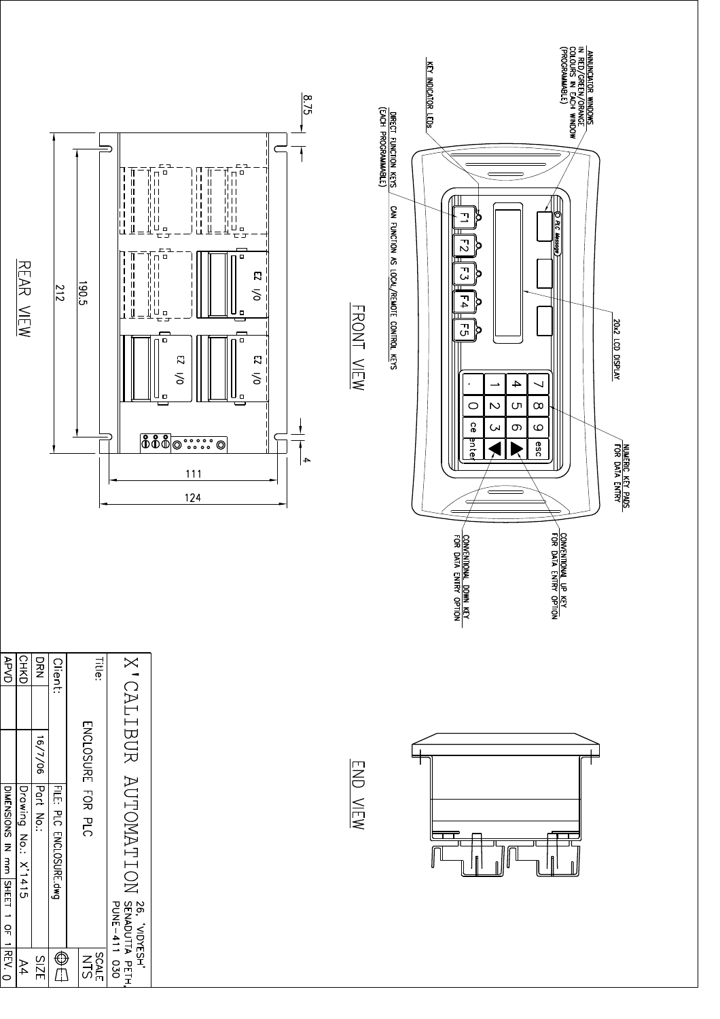| REAR VIEW                                                                                | $\frac{190.5}{2}$<br>$\frac{212}{2}$  | $\vert \vert$<br>I<br>$\vert \vert$<br>I<br>$\mathsf{H}% _{k}\left( t\right) \equiv\mathsf{H}_{k}\left( t\right)$<br>I<br>$\vert \vert$<br>$\begin{array}{c} \rule{0.2cm}{0.15cm} \rule{0.2cm}{0.15cm} \rule{0.2cm}{0.15cm} \rule{0.2cm}{0.15cm} \rule{0.2cm}{0.15cm} \rule{0.2cm}{0.15cm} \rule{0.2cm}{0.15cm} \rule{0.2cm}{0.15cm} \rule{0.2cm}{0.15cm} \rule{0.2cm}{0.15cm} \rule{0.2cm}{0.15cm} \rule{0.2cm}{0.15cm} \rule{0.2cm}{0.15cm} \rule{0.2cm}{0.15cm} \rule{0.2cm}{0.15cm} \rule{$<br>$\vert \vert$<br>ļΠ<br>Į<br>Щ<br>           <br>$\frac{1}{2}$<br>$\begin{array}{c} \hline \end{array}$ | $\frac{8.7}{3}$<br>Ċ<br>בם -<br>ח<br>$\Box$<br>$\Box$<br>$\overline{\phantom{a}}$<br>$\mid \; \; \mid$<br>$\mathbf{I}$<br>$\vert$<br>$\vert \vert$<br>$\mathbf{I}$<br>$\vert \vert$<br>$\vert \vert$<br>tii<br>¦ye<br>$\mathbf{I}$<br>Щ<br>$\bar{\pi}$<br>$\square$ $\square$<br>≞<br>亡口<br>드그<br>$\Box$ $\Box$<br>$\Box$<br>$\overline{\mathbf{c}}$<br>δ<br>П<br>Ц<br>$\Box$<br>$\Box$<br>$\square$<br>$\Box$<br>o<br>$\overline{\Omega}$<br>$\mathbf{z}$<br>δ<br>δ<br>о<br>о<br><b>888</b><br>$\begin{array}{ c c c }\hline\multicolumn{1}{c }{\textbf{0}\;\textbf{0}\;\textbf{0}\;\textbf{0}\;\textbf{0}}\hline\\ \multicolumn{1}{c }{\textbf{0}\;\textbf{0}\;\textbf{0}\;\textbf{0}\;\textbf{0}}\hline\\ \multicolumn{1}{c }{\textbf{0}\;\textbf{0}\;\textbf{0}\;\textbf{0}}\hline\\ \multicolumn{1}{c }{\textbf{0}\;\textbf{0}\;\textbf{0}\;\textbf{0}}\hline\\ \multicolumn{1}{c }{\textbf{0}\;\textbf{0}\;\textbf{0}\;\textbf{0}}\hline\\ \multic$<br>$\circledcirc$<br>$\circledcirc$<br>$\rightarrow$<br>111<br>124 | FRONT VIEW | DIRECT FUNCTION KEYS<br>(EACH PROGRAMMABLE)<br>CAN FUNCTION AS LOCAL/REMOTE CONTROL KEYS | KEY INDICATOR LEDS<br>그<br>$\vec{c}$<br>$\mathbf{C}$<br>$\Gamma_4$<br>$\overline{G}$<br>CONVENTIONAL DOWN KEY<br>FOR DATA ENTRY OPTION | Ιŏ<br>p<br>þ<br>Q<br>þ<br>$\mathcal{A}% _{0}$<br>↘<br>$\rightarrow$<br>$\overline{\mathsf{C}}$<br>$\infty$<br>(၂<br>$\circ$<br><u>ဝ</u><br>$\infty$<br>$\circ$<br><b>C</b><br>anter<br>esc | ANNUNCIATOR WINDOWS<br>IN RED/OREEN/ORANGE<br>COLOURS IN EACH WINDOW<br>(PROGRAMMABLE)<br>O PLC Message<br>CONVENTIONAL UP KEY | 20x2 LCD DISPLAY<br>NUMERIC KEY PADS<br>FOR DATA ENTRY |
|------------------------------------------------------------------------------------------|---------------------------------------|-----------------------------------------------------------------------------------------------------------------------------------------------------------------------------------------------------------------------------------------------------------------------------------------------------------------------------------------------------------------------------------------------------------------------------------------------------------------------------------------------------------------------------------------------------------------------------------------------------------|------------------------------------------------------------------------------------------------------------------------------------------------------------------------------------------------------------------------------------------------------------------------------------------------------------------------------------------------------------------------------------------------------------------------------------------------------------------------------------------------------------------------------------------------------------------------------------------------------------------------------------------------------------------------------------------------------------------------------------------------------------------------------------------------------------------------------------------------------------------------------------------------------------------------------------------------------------------------------------------------------------------------------|------------|------------------------------------------------------------------------------------------|----------------------------------------------------------------------------------------------------------------------------------------|--------------------------------------------------------------------------------------------------------------------------------------------------------------------------------------------|--------------------------------------------------------------------------------------------------------------------------------|--------------------------------------------------------|
| DYP<br>DYD<br><b>CHKD</b><br>DRN                                                         | <b>Client:</b>                        | <b>Title:</b>                                                                                                                                                                                                                                                                                                                                                                                                                                                                                                                                                                                             |                                                                                                                                                                                                                                                                                                                                                                                                                                                                                                                                                                                                                                                                                                                                                                                                                                                                                                                                                                                                                              |            |                                                                                          |                                                                                                                                        |                                                                                                                                                                                            |                                                                                                                                |                                                        |
| 16/7/06<br> DIMENSIONS IN mm   SHEET 1 OF 1  REV. 0 <br>Part No.:<br>Drawing No.: X'1415 | FILE: PLC ENCLOSURE.dwg<br><b>PLC</b> | X CALIBUR AUTOMATION<br><b>ENCLOSURE</b><br>FOR<br>76, YNDYESH'<br>  SENADUTTA PETH,<br>  PUNE-411 030                                                                                                                                                                                                                                                                                                                                                                                                                                                                                                    |                                                                                                                                                                                                                                                                                                                                                                                                                                                                                                                                                                                                                                                                                                                                                                                                                                                                                                                                                                                                                              | END VIEW   |                                                                                          |                                                                                                                                        | $\mathbf{f}$                                                                                                                                                                               | fl                                                                                                                             |                                                        |
| <b>SIZE</b><br>$\mathsf{A}4$                                                             | $\bigoplus$                           | SLN<br>SLN<br>SLN                                                                                                                                                                                                                                                                                                                                                                                                                                                                                                                                                                                         |                                                                                                                                                                                                                                                                                                                                                                                                                                                                                                                                                                                                                                                                                                                                                                                                                                                                                                                                                                                                                              |            |                                                                                          |                                                                                                                                        |                                                                                                                                                                                            |                                                                                                                                |                                                        |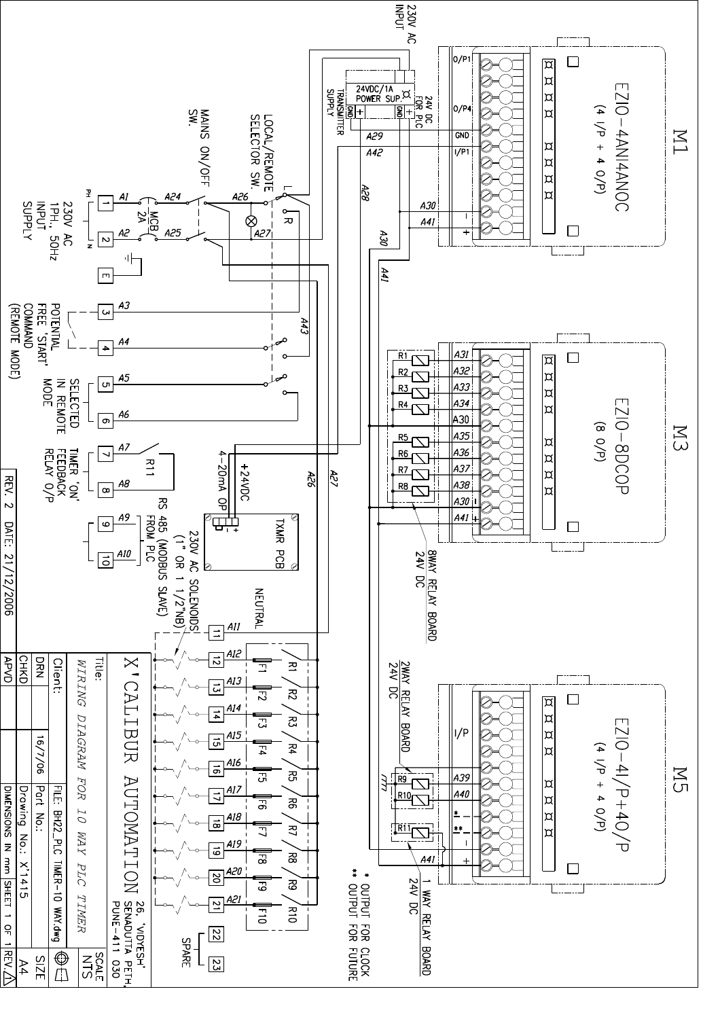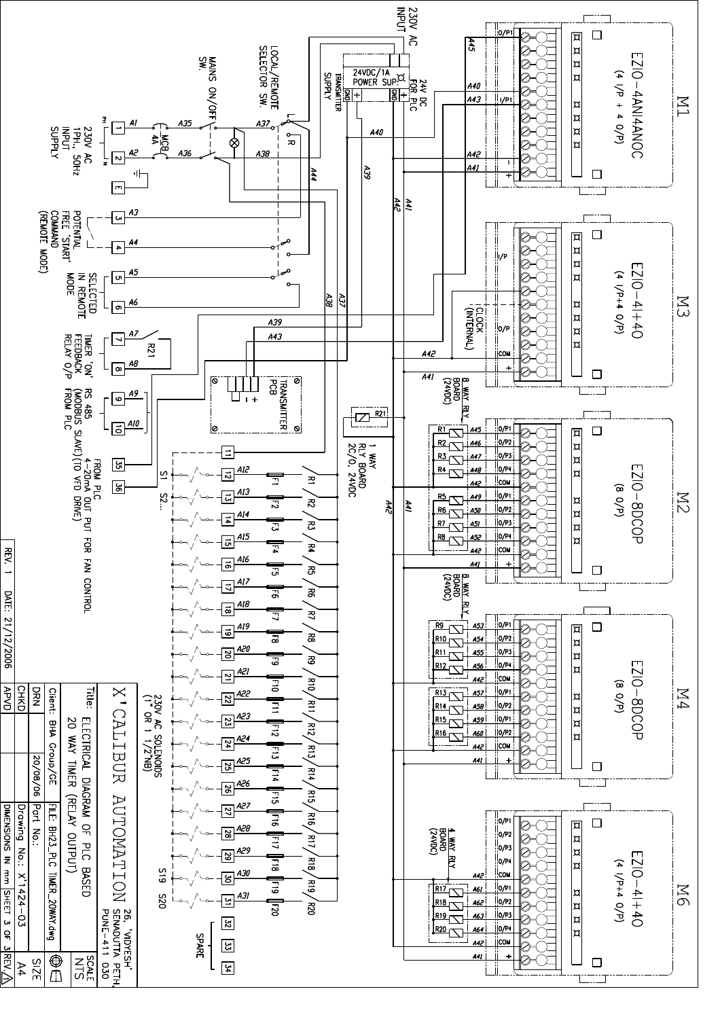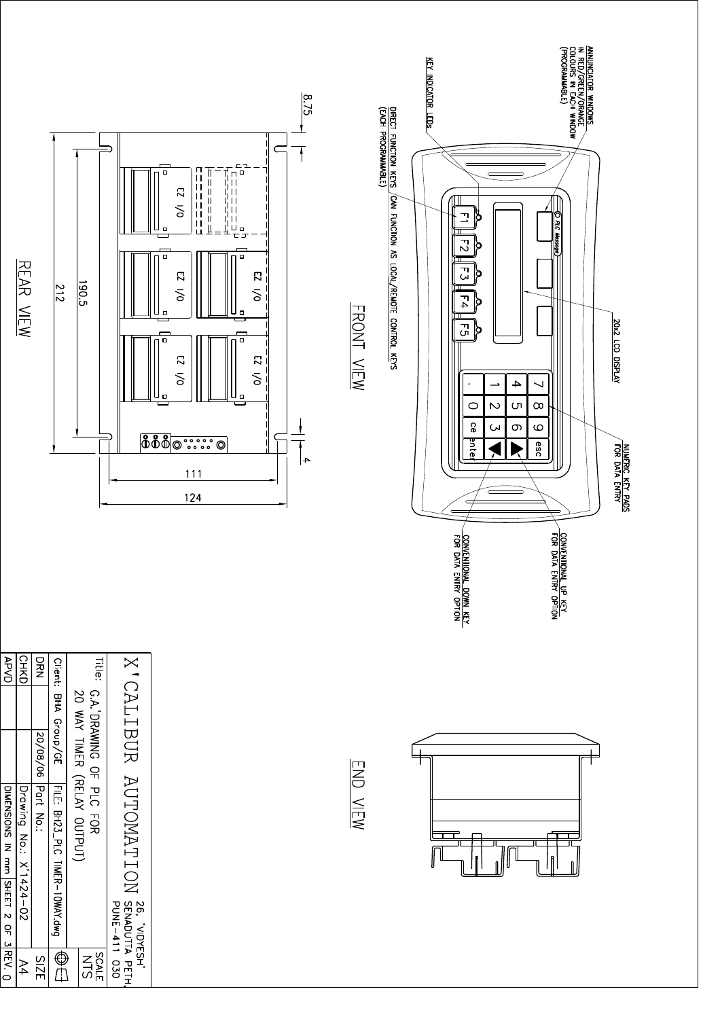| REAR VIEW                                                                                                                                | 190.5<br>212                                                                                                                                                                      | $\frac{8.76}{5}$<br>담<br>O<br>п<br>$\mathsf{I}$<br>П<br>$\overline{z}$<br>$\mathbf{I}$<br>$\mathbf{I}$<br>$\mathbf{I}$<br>$\vert \vert$<br>$\overline{\delta}$<br>川山<br>$\vert \ \vert$<br>$\begin{array}{c} \n \square \\ \square \quad \square\n \end{array}$<br>$\ \ \ $<br>$\Box$<br>Щ<br>$\Box$ $\Box$<br>г<br>$\Box$<br>$\Box$<br>$\overline{\mathcal{L}}$<br>$\overline{\mathbf{c}}$<br>δ<br>δ<br>$\Box$<br>о<br>$\Box$<br>$\Box$<br>$\overline{\mathcal{L}}$<br>$\overline{\mathbf{c}}$<br>$\overline{\delta}$<br>$\overline{\delta}$<br>$\Box$<br>о<br><b>668</b> 0<br>$\begin{array}{c} \bullet\, \bullet\, \bullet\, \bullet\, \bullet\, \bullet\, \\ \bullet\, \bullet\, \bullet\, \bullet\, \bullet\, \bullet \end{array}$<br>$\circledcirc$<br>$\rightarrow$<br>$111$<br>$124$ | FRONT VIEW | KEY INDICATOR LEDS<br>DIRECT FUNCTION KEYS<br>(EACH PROGRAMMABLE)<br>CAN FUNCTION AS LOCAL/REMOTE CONTROL KEYS | 그<br>O<br>Þ<br>Rς<br>Message<br>$\vec{c}$<br>Þ<br>ᆩ<br>p<br>j.<br>$\Gamma_4$<br>ρ<br>$\overline{G}$<br>Þ<br>$\rightarrow$<br>$\rightarrow$<br>↘<br>٠<br>$\mathcal{D}$<br>$\infty$<br>Cл<br>$\circ$<br>င္ပ<br>$\infty$<br>$\circ$<br>S<br>anter<br>esc<br>$\subset$<br>CONVENTIONAL UP KEY<br>FOR DATA ENTRY OPTION<br>CONVENTIONAL DOWN KEY<br>FOR DATA ENTRY OPTION | ANNUNCIATOR WINDOWS<br>IN RED/GREEN/ORANGE<br>COLOURS IN EACH WINDOW<br>(PROGRAMMABLE)<br>20x2 LCD DISPLAY | NUMERIC KEY PADS<br>FOR DATA ENTRY |
|------------------------------------------------------------------------------------------------------------------------------------------|-----------------------------------------------------------------------------------------------------------------------------------------------------------------------------------|----------------------------------------------------------------------------------------------------------------------------------------------------------------------------------------------------------------------------------------------------------------------------------------------------------------------------------------------------------------------------------------------------------------------------------------------------------------------------------------------------------------------------------------------------------------------------------------------------------------------------------------------------------------------------------------------------------------------------------------------------------------------------------------------|------------|----------------------------------------------------------------------------------------------------------------|----------------------------------------------------------------------------------------------------------------------------------------------------------------------------------------------------------------------------------------------------------------------------------------------------------------------------------------------------------------------|------------------------------------------------------------------------------------------------------------|------------------------------------|
| <b>OVPVD</b><br><b>CHKD</b><br><b>DRA</b><br>20/08/06<br>Part No.:<br>DIMENSIONS IN a mail SHEET 2 OF 3 REV. O<br>Drawing No.: X'1424-02 | <b>Title:</b><br><b>Client:</b><br>G.A. DRAWING OF<br>$\overline{0}$<br>BHA Group/GE<br>WAY TIMER<br>(RELAY OUTPUT)<br>FILE: BH23_PLC TIMER-10WAY.dwg<br><b>PLC</b><br><b>COR</b> | X CALIBUR<br><b>AUTOMATION</b><br>Z6, 'NDYESH'<br>  SENADUTTA PETH,<br>  PUNE-411 030                                                                                                                                                                                                                                                                                                                                                                                                                                                                                                                                                                                                                                                                                                        | END VIEW   |                                                                                                                | fl<br>fl                                                                                                                                                                                                                                                                                                                                                             | ſ                                                                                                          |                                    |
| <b>SIZE</b><br>A4                                                                                                                        | $\overline{\bigoplus}$<br>SLNE<br>NLS                                                                                                                                             |                                                                                                                                                                                                                                                                                                                                                                                                                                                                                                                                                                                                                                                                                                                                                                                              |            |                                                                                                                |                                                                                                                                                                                                                                                                                                                                                                      |                                                                                                            |                                    |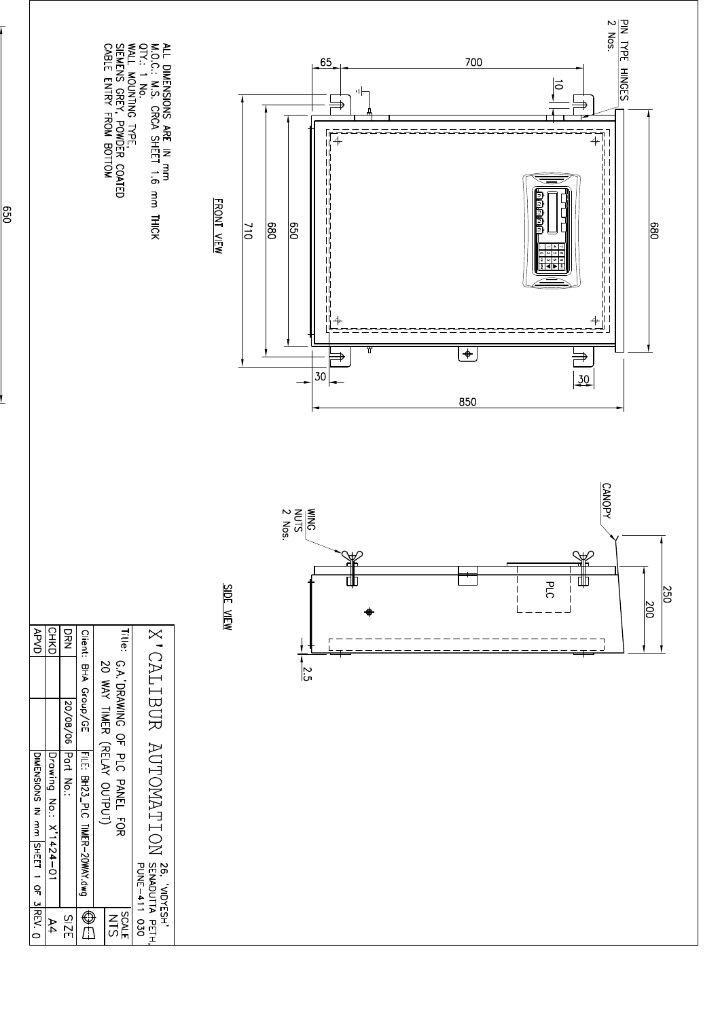